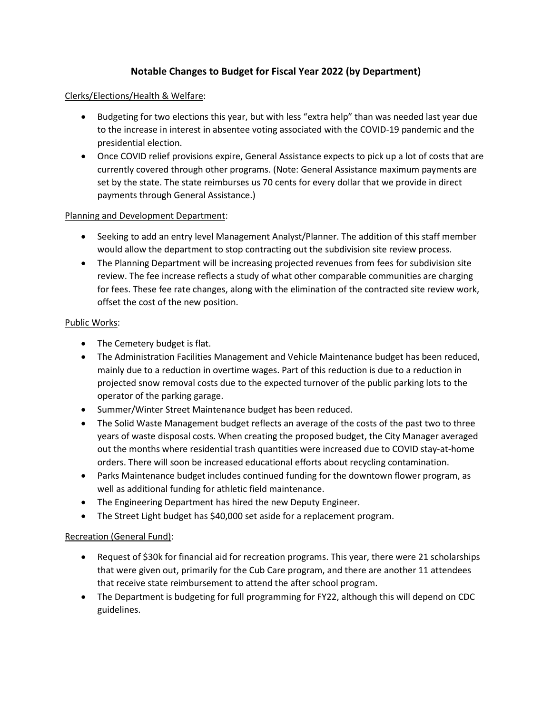# **Notable Changes to Budget for Fiscal Year 2022 (by Department)**

### Clerks/Elections/Health & Welfare:

- Budgeting for two elections this year, but with less "extra help" than was needed last year due to the increase in interest in absentee voting associated with the COVID-19 pandemic and the presidential election.
- Once COVID relief provisions expire, General Assistance expects to pick up a lot of costs that are currently covered through other programs. (Note: General Assistance maximum payments are set by the state. The state reimburses us 70 cents for every dollar that we provide in direct payments through General Assistance.)

### Planning and Development Department:

- Seeking to add an entry level Management Analyst/Planner. The addition of this staff member would allow the department to stop contracting out the subdivision site review process.
- The Planning Department will be increasing projected revenues from fees for subdivision site review. The fee increase reflects a study of what other comparable communities are charging for fees. These fee rate changes, along with the elimination of the contracted site review work, offset the cost of the new position.

### Public Works:

- The Cemetery budget is flat.
- The Administration Facilities Management and Vehicle Maintenance budget has been reduced, mainly due to a reduction in overtime wages. Part of this reduction is due to a reduction in projected snow removal costs due to the expected turnover of the public parking lots to the operator of the parking garage.
- Summer/Winter Street Maintenance budget has been reduced.
- The Solid Waste Management budget reflects an average of the costs of the past two to three years of waste disposal costs. When creating the proposed budget, the City Manager averaged out the months where residential trash quantities were increased due to COVID stay-at-home orders. There will soon be increased educational efforts about recycling contamination.
- Parks Maintenance budget includes continued funding for the downtown flower program, as well as additional funding for athletic field maintenance.
- The Engineering Department has hired the new Deputy Engineer.
- The Street Light budget has \$40,000 set aside for a replacement program.

#### Recreation (General Fund):

- Request of \$30k for financial aid for recreation programs. This year, there were 21 scholarships that were given out, primarily for the Cub Care program, and there are another 11 attendees that receive state reimbursement to attend the after school program.
- The Department is budgeting for full programming for FY22, although this will depend on CDC guidelines.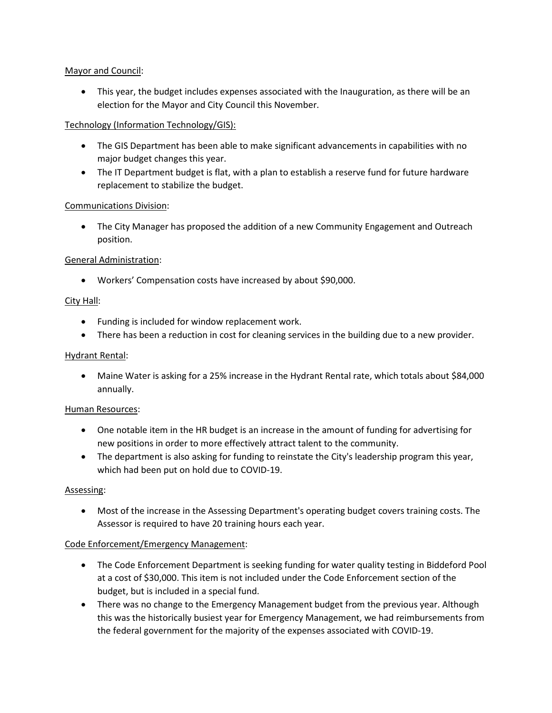### Mayor and Council:

• This year, the budget includes expenses associated with the Inauguration, as there will be an election for the Mayor and City Council this November.

## Technology (Information Technology/GIS):

- The GIS Department has been able to make significant advancements in capabilities with no major budget changes this year.
- The IT Department budget is flat, with a plan to establish a reserve fund for future hardware replacement to stabilize the budget.

## Communications Division:

• The City Manager has proposed the addition of a new Community Engagement and Outreach position.

## General Administration:

• Workers' Compensation costs have increased by about \$90,000.

## City Hall:

- Funding is included for window replacement work.
- There has been a reduction in cost for cleaning services in the building due to a new provider.

### Hydrant Rental:

• Maine Water is asking for a 25% increase in the Hydrant Rental rate, which totals about \$84,000 annually.

## Human Resources:

- One notable item in the HR budget is an increase in the amount of funding for advertising for new positions in order to more effectively attract talent to the community.
- The department is also asking for funding to reinstate the City's leadership program this year, which had been put on hold due to COVID-19.

## Assessing:

• Most of the increase in the Assessing Department's operating budget covers training costs. The Assessor is required to have 20 training hours each year.

## Code Enforcement/Emergency Management:

- The Code Enforcement Department is seeking funding for water quality testing in Biddeford Pool at a cost of \$30,000. This item is not included under the Code Enforcement section of the budget, but is included in a special fund.
- There was no change to the Emergency Management budget from the previous year. Although this was the historically busiest year for Emergency Management, we had reimbursements from the federal government for the majority of the expenses associated with COVID-19.